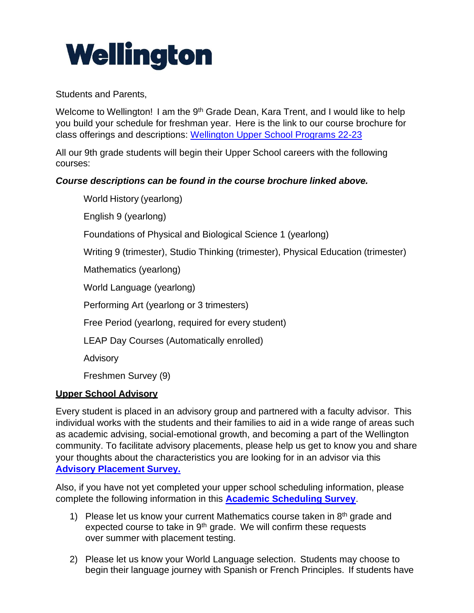## Wellington

Students and Parents,

Welcome to Wellington! I am the 9<sup>th</sup> Grade Dean, Kara Trent, and I would like to help you build your schedule for freshman year. Here is the link to our course brochure for class offerings and descriptions: [Wellington Upper School Programs 22-23](https://drive.google.com/drive/folders/0B8hn1RbzpeHBemFkemk1S3ZfNm8?resourcekey=0-dqGNZ1qWXinwpY5pbWkmrw)

All our 9th grade students will begin their Upper School careers with the following courses:

## *Course descriptions can be found in the course brochure linked above.*

World History (yearlong) English 9 (yearlong)

Foundations of Physical and Biological Science 1 (yearlong)

Writing 9 (trimester), Studio Thinking (trimester), Physical Education (trimester)

Mathematics (yearlong)

World Language (yearlong)

Performing Art (yearlong or 3 trimesters)

Free Period (yearlong, required for every student)

LEAP Day Courses (Automatically enrolled)

Advisory

Freshmen Survey (9)

## **Upper School Advisory**

Every student is placed in an advisory group and partnered with a faculty advisor. This individual works with the students and their families to aid in a wide range of areas such as academic advising, social-emotional growth, and becoming a part of the Wellington community. To facilitate advisory placements, please help us get to know you and share your thoughts about the characteristics you are looking for in an advisor via this **[Advisory Placement Survey.](https://forms.gle/PDptpat5MuytipNb6)**

Also, if you have not yet completed your upper school scheduling information, please complete the following information in this **[Academic Scheduling Survey](https://forms.gle/RZYGvfseTXDoPgpB6)**.

- 1) Please let us know your current Mathematics course taken in  $8<sup>th</sup>$  grade and expected course to take in 9<sup>th</sup> grade. We will confirm these requests over summer with placement testing.
- 2) Please let us know your World Language selection. Students may choose to begin their language journey with Spanish or French Principles. If students have